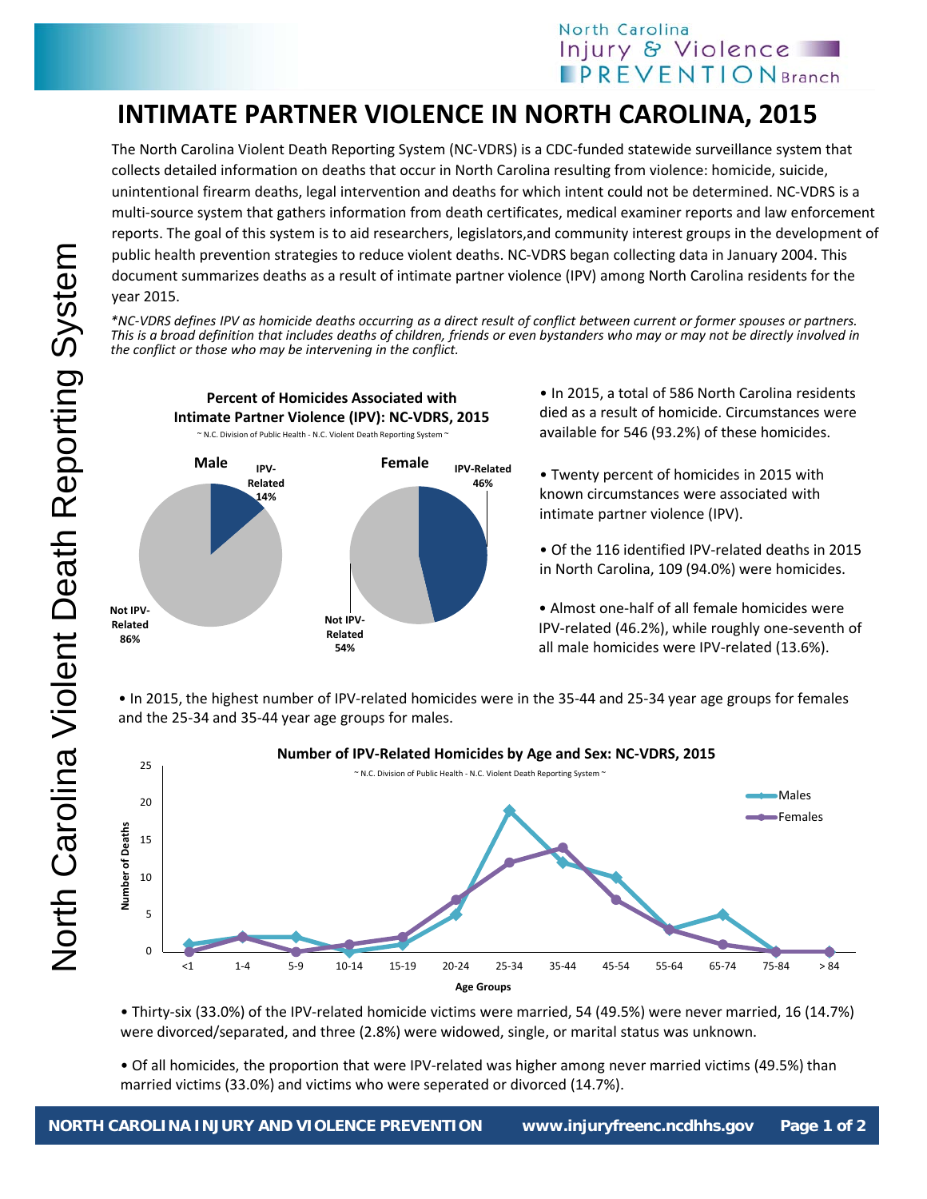## North Carolina Injury & Violence **PREVENTIONBranch**

## **INTIMATE PARTNER VIOLENCE IN NORTH CAROLINA, 2015**

The North Carolina Violent Death Reporting System (NC‐VDRS) is a CDC‐funded statewide surveillance system that collects detailed information on deaths that occur in North Carolina resulting from violence: homicide, suicide, unintentional firearm deaths, legal intervention and deaths for which intent could not be determined. NC‐VDRS is a multi‐source system that gathers information from death certificates, medical examiner reports and law enforcement reports. The goal of this system is to aid researchers, legislators,and community interest groups in the development of public health prevention strategies to reduce violent deaths. NC‐VDRS began collecting data in January 2004. This document summarizes deaths as a result of intimate partner violence (IPV) among North Carolina residents for the year 2015.

\*NC-VDRS defines IPV as homicide deaths occurring as a direct result of conflict between current or former spouses or partners. This is a broad definition that includes deaths of children, friends or even bystanders who may or may not be directly involved in *the conflict or those who may be intervening in the conflict.*



**Percent of Homicides Associated with**

• In 2015, a total of 586 North Carolina residents died as a result of homicide. Circumstances were available for 546 (93.2%) of these homicides.

• Twenty percent of homicides in 2015 with known circumstances were associated with intimate partner violence (IPV).

• Of the 116 identified IPV‐related deaths in 2015 in North Carolina, 109 (94.0%) were homicides.

• Almost one‐half of all female homicides were IPV‐related (46.2%), while roughly one‐seventh of all male homicides were IPV‐related (13.6%).

• In 2015, the highest number of IPV‐related homicides were in the 35‐44 and 25‐34 year age groups for females and the 25‐34 and 35‐44 year age groups for males.



• Thirty‐six (33.0%) of the IPV‐related homicide victims were married, 54 (49.5%) were never married, 16 (14.7%) were divorced/separated, and three (2.8%) were widowed, single, or marital status was unknown.

• Of all homicides, the proportion that were IPV-related was higher among never married victims (49.5%) than married victims (33.0%) and victims who were seperated or divorced (14.7%).